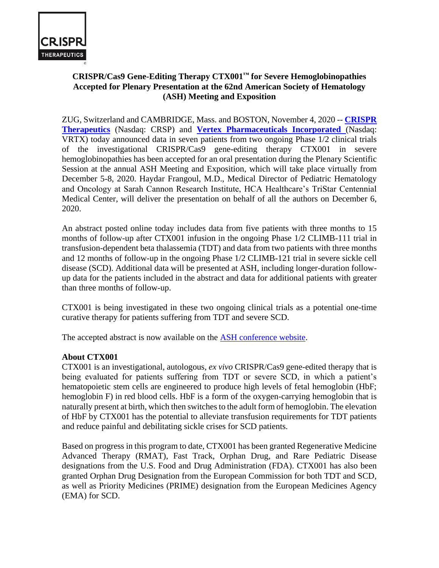

# **CRISPR/Cas9 Gene-Editing Therapy CTX001™ for Severe Hemoglobinopathies Accepted for Plenary Presentation at the 62nd American Society of Hematology (ASH) Meeting and Exposition**

ZUG, Switzerland and CAMBRIDGE, Mass. and BOSTON, November 4, 2020 -- **[CRISPR](http://www.crisprtx.com/)  [Therapeutics](http://www.crisprtx.com/)** (Nasdaq: CRSP) and **[Vertex Pharmaceuticals Incorporated](http://www.vrtx.com/)** (Nasdaq: VRTX) today announced data in seven patients from two ongoing Phase 1/2 clinical trials of the investigational CRISPR/Cas9 gene-editing therapy CTX001 in severe hemoglobinopathies has been accepted for an oral presentation during the Plenary Scientific Session at the annual ASH Meeting and Exposition, which will take place virtually from December 5-8, 2020. Haydar Frangoul, M.D., Medical Director of Pediatric Hematology and Oncology at Sarah Cannon Research Institute, HCA Healthcare's TriStar Centennial Medical Center, will deliver the presentation on behalf of all the authors on December 6, 2020.

An abstract posted online today includes data from five patients with three months to 15 months of follow-up after CTX001 infusion in the ongoing Phase 1/2 CLIMB-111 trial in transfusion-dependent beta thalassemia (TDT) and data from two patients with three months and 12 months of follow-up in the ongoing Phase 1/2 CLIMB-121 trial in severe sickle cell disease (SCD). Additional data will be presented at ASH, including longer-duration followup data for the patients included in the abstract and data for additional patients with greater than three months of follow-up.

CTX001 is being investigated in these two ongoing clinical trials as a potential one-time curative therapy for patients suffering from TDT and severe SCD.

The accepted abstract is now available on the ASH [conference website.](https://www.hematology.org/meetings/annual-meeting)

# **About CTX001**

CTX001 is an investigational, autologous, *ex vivo* CRISPR/Cas9 gene-edited therapy that is being evaluated for patients suffering from TDT or severe SCD, in which a patient's hematopoietic stem cells are engineered to produce high levels of fetal hemoglobin (HbF; hemoglobin F) in red blood cells. HbF is a form of the oxygen-carrying hemoglobin that is naturally present at birth, which then switches to the adult form of hemoglobin. The elevation of HbF by CTX001 has the potential to alleviate transfusion requirements for TDT patients and reduce painful and debilitating sickle crises for SCD patients.

Based on progress in this program to date, CTX001 has been granted Regenerative Medicine Advanced Therapy (RMAT), Fast Track, Orphan Drug, and Rare Pediatric Disease designations from the U.S. Food and Drug Administration (FDA). CTX001 has also been granted Orphan Drug Designation from the European Commission for both TDT and SCD, as well as Priority Medicines (PRIME) designation from the European Medicines Agency (EMA) for SCD.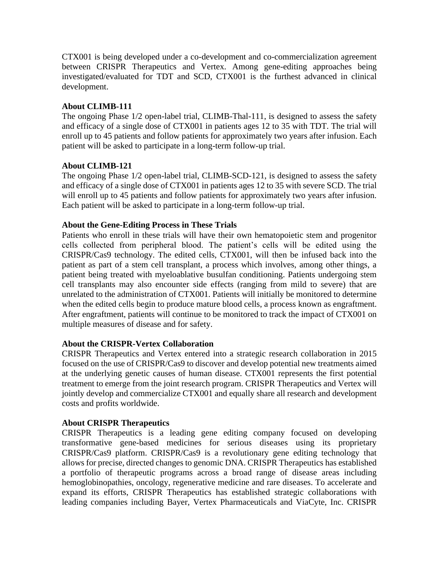CTX001 is being developed under a co-development and co-commercialization agreement between CRISPR Therapeutics and Vertex. Among gene-editing approaches being investigated/evaluated for TDT and SCD, CTX001 is the furthest advanced in clinical development.

# **About CLIMB-111**

The ongoing Phase 1/2 open-label trial, CLIMB-Thal-111, is designed to assess the safety and efficacy of a single dose of CTX001 in patients ages 12 to 35 with TDT. The trial will enroll up to 45 patients and follow patients for approximately two years after infusion. Each patient will be asked to participate in a long-term follow-up trial.

# **About CLIMB-121**

The ongoing Phase 1/2 open-label trial, CLIMB-SCD-121, is designed to assess the safety and efficacy of a single dose of CTX001 in patients ages 12 to 35 with severe SCD. The trial will enroll up to 45 patients and follow patients for approximately two years after infusion. Each patient will be asked to participate in a long-term follow-up trial.

# **About the Gene-Editing Process in These Trials**

Patients who enroll in these trials will have their own hematopoietic stem and progenitor cells collected from peripheral blood. The patient's cells will be edited using the CRISPR/Cas9 technology. The edited cells, CTX001, will then be infused back into the patient as part of a stem cell transplant, a process which involves, among other things, a patient being treated with myeloablative busulfan conditioning. Patients undergoing stem cell transplants may also encounter side effects (ranging from mild to severe) that are unrelated to the administration of CTX001. Patients will initially be monitored to determine when the edited cells begin to produce mature blood cells, a process known as engraftment. After engraftment, patients will continue to be monitored to track the impact of CTX001 on multiple measures of disease and for safety.

### **About the CRISPR-Vertex Collaboration**

CRISPR Therapeutics and Vertex entered into a strategic research collaboration in 2015 focused on the use of CRISPR/Cas9 to discover and develop potential new treatments aimed at the underlying genetic causes of human disease. CTX001 represents the first potential treatment to emerge from the joint research program. CRISPR Therapeutics and Vertex will jointly develop and commercialize CTX001 and equally share all research and development costs and profits worldwide.

### **About CRISPR Therapeutics**

CRISPR Therapeutics is a leading gene editing company focused on developing transformative gene-based medicines for serious diseases using its proprietary CRISPR/Cas9 platform. CRISPR/Cas9 is a revolutionary gene editing technology that allows for precise, directed changes to genomic DNA. CRISPR Therapeutics has established a portfolio of therapeutic programs across a broad range of disease areas including hemoglobinopathies, oncology, regenerative medicine and rare diseases. To accelerate and expand its efforts, CRISPR Therapeutics has established strategic collaborations with leading companies including Bayer, Vertex Pharmaceuticals and ViaCyte, Inc. CRISPR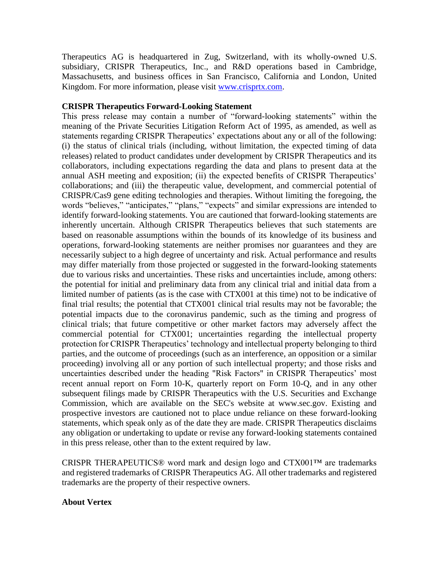Therapeutics AG is headquartered in Zug, Switzerland, with its wholly-owned U.S. subsidiary, CRISPR Therapeutics, Inc., and R&D operations based in Cambridge, Massachusetts, and business offices in San Francisco, California and London, United Kingdom. For more information, please visit [www.crisprtx.com.](https://vrtxpharma-my.sharepoint.com/personal/celeste_vrtx_com/Documents/Personal%20Drive/Heme/www.crisprtx.com)

### **CRISPR Therapeutics Forward-Looking Statement**

This press release may contain a number of "forward-looking statements" within the meaning of the Private Securities Litigation Reform Act of 1995, as amended, as well as statements regarding CRISPR Therapeutics' expectations about any or all of the following: (i) the status of clinical trials (including, without limitation, the expected timing of data releases) related to product candidates under development by CRISPR Therapeutics and its collaborators, including expectations regarding the data and plans to present data at the annual ASH meeting and exposition; (ii) the expected benefits of CRISPR Therapeutics' collaborations; and (iii) the therapeutic value, development, and commercial potential of CRISPR/Cas9 gene editing technologies and therapies. Without limiting the foregoing, the words "believes," "anticipates," "plans," "expects" and similar expressions are intended to identify forward-looking statements. You are cautioned that forward-looking statements are inherently uncertain. Although CRISPR Therapeutics believes that such statements are based on reasonable assumptions within the bounds of its knowledge of its business and operations, forward-looking statements are neither promises nor guarantees and they are necessarily subject to a high degree of uncertainty and risk. Actual performance and results may differ materially from those projected or suggested in the forward-looking statements due to various risks and uncertainties. These risks and uncertainties include, among others: the potential for initial and preliminary data from any clinical trial and initial data from a limited number of patients (as is the case with CTX001 at this time) not to be indicative of final trial results; the potential that CTX001 clinical trial results may not be favorable; the potential impacts due to the coronavirus pandemic, such as the timing and progress of clinical trials; that future competitive or other market factors may adversely affect the commercial potential for CTX001; uncertainties regarding the intellectual property protection for CRISPR Therapeutics' technology and intellectual property belonging to third parties, and the outcome of proceedings (such as an interference, an opposition or a similar proceeding) involving all or any portion of such intellectual property; and those risks and uncertainties described under the heading "Risk Factors" in CRISPR Therapeutics' most recent annual report on Form 10-K, quarterly report on Form 10-Q, and in any other subsequent filings made by CRISPR Therapeutics with the U.S. Securities and Exchange Commission, which are available on the SEC's website at www.sec.gov. Existing and prospective investors are cautioned not to place undue reliance on these forward-looking statements, which speak only as of the date they are made. CRISPR Therapeutics disclaims any obligation or undertaking to update or revise any forward-looking statements contained in this press release, other than to the extent required by law.

CRISPR THERAPEUTICS® word mark and design logo and CTX001™ are trademarks and registered trademarks of CRISPR Therapeutics AG. All other trademarks and registered trademarks are the property of their respective owners.

#### **About Vertex**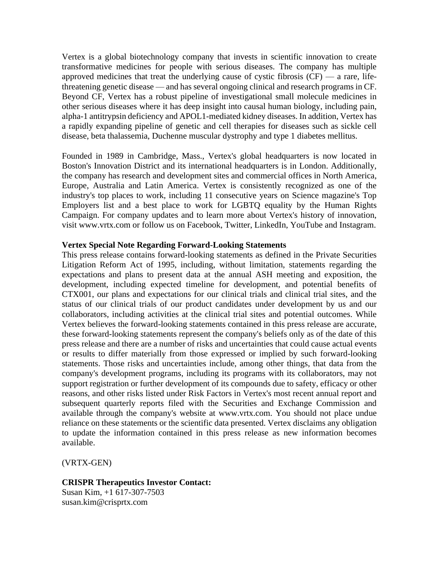Vertex is a global biotechnology company that invests in scientific innovation to create transformative medicines for people with serious diseases. The company has multiple approved medicines that treat the underlying cause of cystic fibrosis  $(CF)$  — a rare, lifethreatening genetic disease — and has several ongoing clinical and research programs in CF. Beyond CF, Vertex has a robust pipeline of investigational small molecule medicines in other serious diseases where it has deep insight into causal human biology, including pain, alpha-1 antitrypsin deficiency and APOL1-mediated kidney diseases. In addition, Vertex has a rapidly expanding pipeline of genetic and cell therapies for diseases such as sickle cell disease, beta thalassemia, Duchenne muscular dystrophy and type 1 diabetes mellitus.

Founded in 1989 in Cambridge, Mass., Vertex's global headquarters is now located in Boston's Innovation District and its international headquarters is in London. Additionally, the company has research and development sites and commercial offices in North America, Europe, Australia and Latin America. Vertex is consistently recognized as one of the industry's top places to work, including 11 consecutive years on Science magazine's Top Employers list and a best place to work for LGBTQ equality by the Human Rights Campaign. For company updates and to learn more about Vertex's history of innovation, visit www.vrtx.com or follow us on Facebook, Twitter, LinkedIn, YouTube and Instagram.

#### **Vertex Special Note Regarding Forward-Looking Statements**

This press release contains forward-looking statements as defined in the Private Securities Litigation Reform Act of 1995, including, without limitation, statements regarding the expectations and plans to present data at the annual ASH meeting and exposition, the development, including expected timeline for development, and potential benefits of CTX001, our plans and expectations for our clinical trials and clinical trial sites, and the status of our clinical trials of our product candidates under development by us and our collaborators, including activities at the clinical trial sites and potential outcomes. While Vertex believes the forward-looking statements contained in this press release are accurate, these forward-looking statements represent the company's beliefs only as of the date of this press release and there are a number of risks and uncertainties that could cause actual events or results to differ materially from those expressed or implied by such forward-looking statements. Those risks and uncertainties include, among other things, that data from the company's development programs, including its programs with its collaborators, may not support registration or further development of its compounds due to safety, efficacy or other reasons, and other risks listed under Risk Factors in Vertex's most recent annual report and subsequent quarterly reports filed with the Securities and Exchange Commission and available through the company's website at www.vrtx.com. You should not place undue reliance on these statements or the scientific data presented. Vertex disclaims any obligation to update the information contained in this press release as new information becomes available.

(VRTX-GEN)

#### **CRISPR Therapeutics Investor Contact:**

Susan Kim, +1 617-307-7503 susan.kim@crisprtx.com